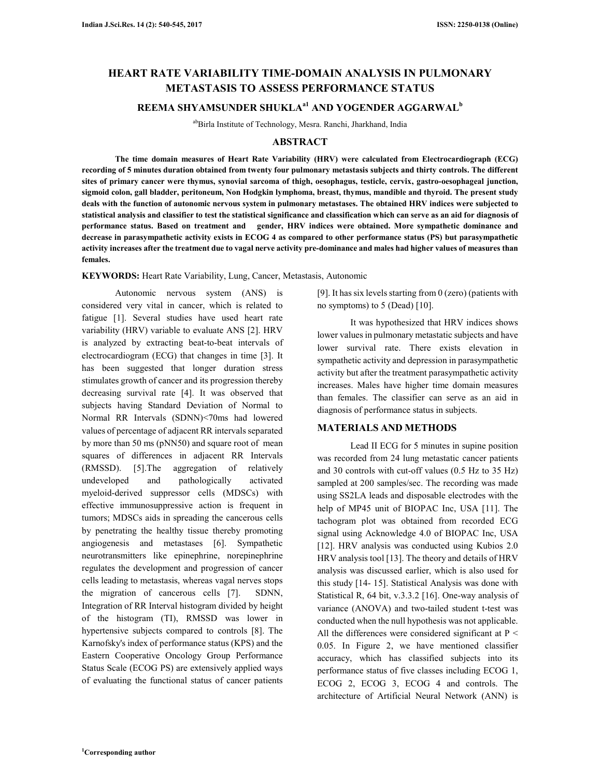# **HEART RATE VARIABILITY TIME-DOMAIN ANALYSIS IN PULMONARY METASTASIS TO ASSESS PERFORMANCE STATUS**

# **REEMA SHYAMSUNDER SHUKLAa1 AND YOGENDER AGGARWAL<sup>b</sup>**

abBirla Institute of Technology, Mesra. Ranchi, Jharkhand, India

### **ABSTRACT**

**The time domain measures of Heart Rate Variability (HRV) were calculated from Electrocardiograph (ECG) recording of 5 minutes duration obtained from twenty four pulmonary metastasis subjects and thirty controls. The different sites of primary cancer were thymus, synovial sarcoma of thigh, oesophagus, testicle, cervix, gastro-oesophageal junction, sigmoid colon, gall bladder, peritoneum, Non Hodgkin lymphoma, breast, thymus, mandible and thyroid. The present study deals with the function of autonomic nervous system in pulmonary metastases. The obtained HRV indices were subjected to statistical analysis and classifier to test the statistical significance and classification which can serve as an aid for diagnosis of performance status. Based on treatment and gender, HRV indices were obtained. More sympathetic dominance and decrease in parasympathetic activity exists in ECOG 4 as compared to other performance status (PS) but parasympathetic activity increases after the treatment due to vagal nerve activity pre-dominance and males had higher values of measures than females.** 

**KEYWORDS:** Heart Rate Variability, Lung, Cancer, Metastasis, Autonomic

Autonomic nervous system (ANS) is considered very vital in cancer, which is related to fatigue [1]. Several studies have used heart rate variability (HRV) variable to evaluate ANS [2]. HRV is analyzed by extracting beat-to-beat intervals of electrocardiogram (ECG) that changes in time [3]. It has been suggested that longer duration stress stimulates growth of cancer and its progression thereby decreasing survival rate [4]. It was observed that subjects having Standard Deviation of Normal to Normal RR Intervals (SDNN)<70ms had lowered values of percentage of adjacent RR intervals separated by more than 50 ms (pNN50) and square root of mean squares of differences in adjacent RR Intervals (RMSSD). [5].The aggregation of relatively undeveloped and pathologically activated myeloid-derived suppressor cells (MDSCs) with effective immunosuppressive action is frequent in tumors; MDSCs aids in spreading the cancerous cells by penetrating the healthy tissue thereby promoting angiogenesis and metastases [6]. Sympathetic neurotransmitters like epinephrine, norepinephrine regulates the development and progression of cancer cells leading to metastasis, whereas vagal nerves stops the migration of cancerous cells [7]. SDNN, Integration of RR Interval histogram divided by height of the histogram (TI), RMSSD was lower in hypertensive subjects compared to controls [8]. The Karnofsky's index of performance status (KPS) and the Eastern Cooperative Oncology Group Performance Status Scale (ECOG PS) are extensively applied ways of evaluating the functional status of cancer patients [9]. It has six levels starting from 0 (zero) (patients with no symptoms) to 5 (Dead) [10].

It was hypothesized that HRV indices shows lower values in pulmonary metastatic subjects and have lower survival rate. There exists elevation in sympathetic activity and depression in parasympathetic activity but after the treatment parasympathetic activity increases. Males have higher time domain measures than females. The classifier can serve as an aid in diagnosis of performance status in subjects.

#### **MATERIALS AND METHODS**

Lead II ECG for 5 minutes in supine position was recorded from 24 lung metastatic cancer patients and 30 controls with cut-off values (0.5 Hz to 35 Hz) sampled at 200 samples/sec. The recording was made using SS2LA leads and disposable electrodes with the help of MP45 unit of BIOPAC Inc, USA [11]. The tachogram plot was obtained from recorded ECG signal using Acknowledge 4.0 of BIOPAC Inc, USA [12]. HRV analysis was conducted using Kubios 2.0 HRV analysis tool [13]. The theory and details of HRV analysis was discussed earlier, which is also used for this study [14- 15]. Statistical Analysis was done with Statistical R, 64 bit, v.3.3.2 [16]. One-way analysis of variance (ANOVA) and two-tailed student t-test was conducted when the null hypothesis was not applicable. All the differences were considered significant at  $P \leq$ 0.05. In Figure 2, we have mentioned classifier accuracy, which has classified subjects into its performance status of five classes including ECOG 1, ECOG 2, ECOG 3, ECOG 4 and controls. The architecture of Artificial Neural Network (ANN) is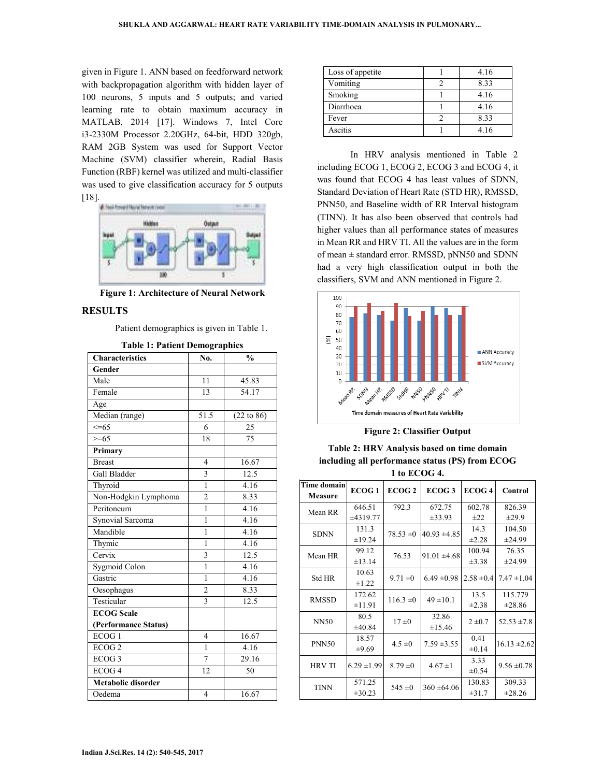given in Figure 1. ANN based on feedforward network with backpropagation algorithm with hidden layer of 100 neurons, 5 inputs and 5 outputs; and varied learning rate to obtain maximum accuracy in MATLAB, 2014 [17]. Windows 7, Intel Core i3-2330M Processor 2.20GHz, 64-bit, HDD 320gb, RAM 2GB System was used for Support Vector Machine (SVM) classifier wherein, Radial Basis Function (RBF) kernel was utilized and multi-classifier was used to give classification accuracy for 5 outputs [18].



**Figure 1: Architecture of Neural Network** 

#### **RESULTS**

Patient demographics is given in Table 1.

| гаріє т. і апені решовгарніся |                         |                   |  |  |  |
|-------------------------------|-------------------------|-------------------|--|--|--|
| <b>Characteristics</b>        | No.                     | $\frac{0}{0}$     |  |  |  |
| Gender                        |                         |                   |  |  |  |
| Male                          | 11                      | 45.83             |  |  |  |
| Female                        | 13                      | $\frac{1}{54.17}$ |  |  |  |
| Age                           |                         |                   |  |  |  |
| Median (range)                | 51.5                    | (22 to 86)        |  |  |  |
| $\leq=65$                     | 6                       | 25                |  |  |  |
| $\overline{5}$ =65            | 18                      | 75                |  |  |  |
| Primary                       |                         |                   |  |  |  |
| <b>Breast</b>                 | $\overline{4}$          | 16.67             |  |  |  |
| Gall Bladder                  | $\overline{3}$          | 12.5              |  |  |  |
| Thyroid                       | $\mathbf{1}$            | 4.16              |  |  |  |
| Non-Hodgkin Lymphoma          | $\overline{2}$          | 8.33              |  |  |  |
| Peritoneum                    | $\mathbf{1}$            | 4.16              |  |  |  |
| <b>Synovial Sarcoma</b>       | $\mathbf{1}$            | 4.16              |  |  |  |
| Mandible                      | $\mathbf{1}$            | 4.16              |  |  |  |
| Thymic                        | 1                       | 4.16              |  |  |  |
| Cervix                        | $\overline{\mathbf{3}}$ | 12.5              |  |  |  |
| Sygmoid Colon                 | $\mathbf{1}$            | 4.16              |  |  |  |
| Gastric                       | $\mathbf{1}$            | 4.16              |  |  |  |
| Oesophagus                    | $\overline{c}$          | 8.33              |  |  |  |
| Testicular                    | $\overline{\mathbf{3}}$ | 12.5              |  |  |  |
| <b>ECOG</b> Scale             |                         |                   |  |  |  |
| (Performance Status)          |                         |                   |  |  |  |
| ECOG <sub>1</sub>             | $\overline{4}$          | 16.67             |  |  |  |
| ECOG <sub>2</sub>             | 1                       | 4.16              |  |  |  |
| ECOG <sub>3</sub>             | $\overline{7}$          | 29.16             |  |  |  |
| ECOG <sub>4</sub>             | 12                      | 50                |  |  |  |
| <b>Metabolic disorder</b>     |                         |                   |  |  |  |
| Oedema                        | $\overline{4}$          | 16.67             |  |  |  |
|                               |                         |                   |  |  |  |

**Table 1: Patient Demographics** 

| Loss of appetite | 4.16 |
|------------------|------|
| Vomiting         | 8.33 |
| Smoking          | 4.16 |
| Diarrhoea        | 4.16 |
| Fever            | 8.33 |
| Ascitis          | 4.16 |

In HRV analysis mentioned in Table 2 including ECOG 1, ECOG 2, ECOG 3 and ECOG 4, it was found that ECOG 4 has least values of SDNN, Standard Deviation of Heart Rate (STD HR), RMSSD, PNN50, and Baseline width of RR Interval histogram (TINN). It has also been observed that controls had higher values than all performance states of measures in Mean RR and HRV TI. All the values are in the form of mean ± standard error. RMSSD, pNN50 and SDNN had a very high classification output in both the classifiers, SVM and ANN mentioned in Figure 2.



**Figure 2: Classifier Output** 

**Table 2: HRV Analysis based on time domain including all performance status (PS) from ECOG 1 to ECOG 4.** 

| <b>Time domain</b><br><b>Measure</b> | <b>ECOG1</b>        | ECOG <sub>2</sub> | ECOG <sub>3</sub> | ECOG <sub>4</sub>  | Control          |
|--------------------------------------|---------------------|-------------------|-------------------|--------------------|------------------|
| Mean RR                              | 646.51              | 792.3             | 672.75            | 602.78             | 826.39           |
|                                      | ±4319.77            |                   | $\pm 33.93$       | $\pm 22$           | $\pm 29.9$       |
| <b>SDNN</b>                          | 131.3               | $78.53 \pm 0$     | $40.93 \pm 4.85$  | 14.3               | 104.50           |
|                                      | ±19.24              |                   |                   | $\pm 2.28$         | ±24.99           |
| Mean HR                              | 99.12               | 76.53             | $91.01 \pm 4.68$  | 100.94             | 76.35            |
|                                      | ±13.14              |                   |                   | $\pm 3.38$         | ±24.99           |
| <b>Std HR</b>                        | 10.63<br>$\pm 1.22$ | $9.71 \pm 0$      | $6.49 \pm 0.98$   | $2.58 \pm 0.4$     | $7.47 \pm 1.04$  |
| <b>RMSSD</b>                         | 172.62              | $116.3 \pm 0$     | $49 \pm 10.1$     | 13.5               | 115.779          |
|                                      | ±11.91              |                   |                   | $\pm 2.38$         | $\pm 28.86$      |
| <b>NN50</b>                          | 80.5<br>±40.84      | 17±0              | 32.86<br>±15.46   | $2 \pm 0.7$        | $52.53 \pm 7.8$  |
| <b>PNN50</b>                         | 18.57<br>$\pm 9.69$ | $4.5 \pm 0$       | $7.59 \pm 3.55$   | 0.41<br>$\pm 0.14$ | $16.13 \pm 2.62$ |
| <b>HRV TI</b>                        | $6.29 \pm 1.99$     | $8.79 = 0$        | $4.67 \pm 1$      | 3.33<br>$\pm 0.54$ | $9.56 \pm 0.78$  |
| <b>TINN</b>                          | 571.25              | $545 \pm 0$       | $360 \pm 64.06$   | 130.83             | 309.33           |
|                                      | $\pm 30.23$         |                   |                   | $\pm 31.7$         | ±28.26           |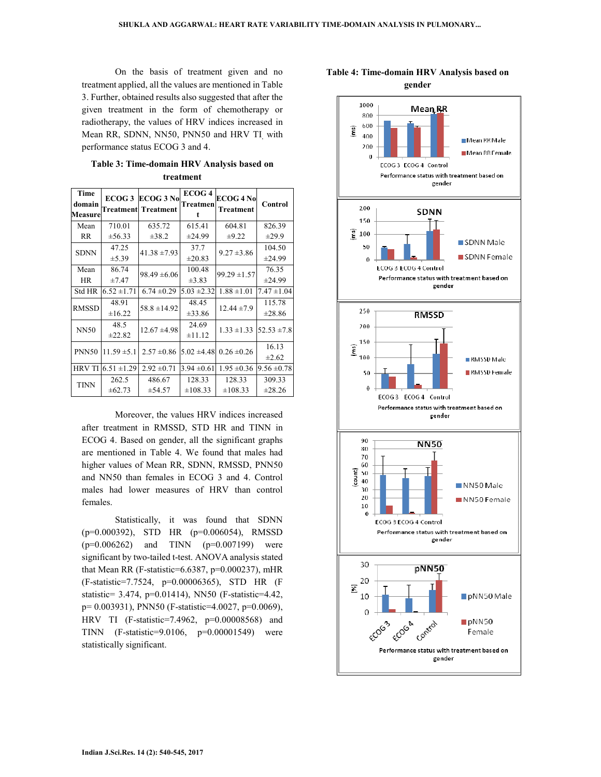On the basis of treatment given and no treatment applied, all the values are mentioned in Table 3. Further, obtained results also suggested that after the given treatment in the form of chemotherapy or radiotherapy, the values of HRV indices increased in Mean RR, SDNN, NN50, PNN50 and HRV TI, with performance status ECOG 3 and 4.

**Table 3: Time-domain HRV Analysis based on treatment** 

| Time<br>domain<br>Measure | ECOG <sub>3</sub><br>Treatment | <b>ECOG 3 No</b><br><b>Treatment</b> | ECOG 4<br>Treatmen<br>t | <b>ECOG 4 No</b><br><b>Treatment</b> | Control         |
|---------------------------|--------------------------------|--------------------------------------|-------------------------|--------------------------------------|-----------------|
| Mean                      | 710.01                         | 635.72                               | 615.41                  | 604.81                               | 826.39          |
| RR.                       | ±56.33                         | $\pm 38.2$                           | ±24.99                  | $\pm 9.22$                           | $\pm 29.9$      |
| <b>SDNN</b>               | 47.25                          | $41.38 \pm 7.93$                     | 37.7                    | $9.27 \pm 3.86$                      | 104.50          |
|                           | ±5.39                          |                                      | ±20.83                  |                                      | ±24.99          |
| Mean                      | 86.74                          | $98.49 \pm 6.06$                     | 100.48                  | $99.29 \pm 1.57$                     | 76.35           |
| HR.                       | $\pm 7.47$                     |                                      | $\pm 3.83$              |                                      | ±24.99          |
| Std HR                    | $6.52 \pm 1.71$                | $6.74 \pm 0.29$                      | $5.03 \pm 2.32$         | $1.88 \pm 1.01$                      | $7.47 \pm 1.04$ |
| <b>RMSSD</b>              | 48.91                          | $58.8 \pm 14.92$                     | 48.45                   | $12.44 \pm 7.9$                      | 115.78          |
|                           | ±16.22                         |                                      | $\pm 33.86$             |                                      | $\pm 28.86$     |
| <b>NN50</b>               | 48.5                           | $12.67 \pm 4.98$                     | 24.69                   | $1.33 \pm 1.33$                      | $52.53 \pm 7.8$ |
|                           | ±22.82                         |                                      | $\pm 11.12$             |                                      |                 |
| <b>PNN50</b>              | $11.59 \pm 5.1$                | $2.57 \pm 0.86$                      | $5.02 \pm 4.48$         | $0.26 \pm 0.26$                      | 16.13           |
|                           |                                |                                      |                         |                                      | ±2.62           |
| <b>HRV TI</b>             | $6.51 \pm 1.29$                | $2.92 \pm 0.71$                      | $3.94 \pm 0.61$         | $1.95 \pm 0.36$                      | $9.56 \pm 0.78$ |
| <b>TINN</b>               | 262.5                          | 486.67                               | 128.33                  | 128.33                               | 309.33          |
|                           | $\pm 62.73$                    | ±54.57                               | $\pm 108.33$            | $\pm 108.33$                         | $\pm 28.26$     |

Moreover, the values HRV indices increased after treatment in RMSSD, STD HR and TINN in ECOG 4. Based on gender, all the significant graphs are mentioned in Table 4. We found that males had higher values of Mean RR, SDNN, RMSSD, PNN50 and NN50 than females in ECOG 3 and 4. Control males had lower measures of HRV than control females.

Statistically, it was found that SDNN (p=0.000392), STD HR (p=0.006054), RMSSD  $(p=0.006262)$  and TINN  $(p=0.007199)$  were significant by two-tailed t-test. ANOVA analysis stated that Mean RR (F-statistic= $6.6387$ , p= $0.000237$ ), mHR (F-statistic=7.7524, p=0.00006365), STD HR (F statistic= 3.474, p=0.01414), NN50 (F-statistic=4.42, p= 0.003931), PNN50 (F-statistic=4.0027, p=0.0069), HRV TI (F-statistic=7.4962, p=0.00008568) and TINN (F-statistic=9.0106, p=0.00001549) were statistically significant.



## **Table 4: Time-domain HRV Analysis based on gender**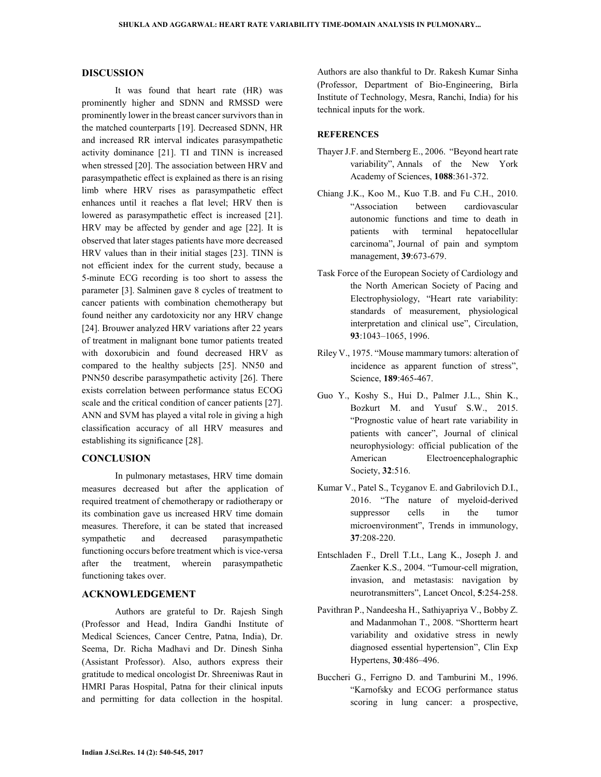#### **DISCUSSION**

It was found that heart rate (HR) was prominently higher and SDNN and RMSSD were prominently lower in the breast cancer survivors than in the matched counterparts [19]. Decreased SDNN, HR and increased RR interval indicates parasympathetic activity dominance [21]. TI and TINN is increased when stressed [20]. The association between HRV and parasympathetic effect is explained as there is an rising limb where HRV rises as parasympathetic effect enhances until it reaches a flat level; HRV then is lowered as parasympathetic effect is increased [21]. HRV may be affected by gender and age [22]. It is observed that later stages patients have more decreased HRV values than in their initial stages [23]. TINN is not efficient index for the current study, because a 5-minute ECG recording is too short to assess the parameter [3]. Salminen gave 8 cycles of treatment to cancer patients with combination chemotherapy but found neither any cardotoxicity nor any HRV change [24]. Brouwer analyzed HRV variations after 22 years of treatment in malignant bone tumor patients treated with doxorubicin and found decreased HRV as compared to the healthy subjects [25]. NN50 and PNN50 describe parasympathetic activity [26]. There exists correlation between performance status ECOG scale and the critical condition of cancer patients [27]. ANN and SVM has played a vital role in giving a high classification accuracy of all HRV measures and establishing its significance [28].

## **CONCLUSION**

In pulmonary metastases, HRV time domain measures decreased but after the application of required treatment of chemotherapy or radiotherapy or its combination gave us increased HRV time domain measures. Therefore, it can be stated that increased sympathetic and decreased parasympathetic functioning occurs before treatment which is vice-versa after the treatment, wherein parasympathetic functioning takes over.

#### **ACKNOWLEDGEMENT**

Authors are grateful to Dr. Rajesh Singh (Professor and Head, Indira Gandhi Institute of Medical Sciences, Cancer Centre, Patna, India), Dr. Seema, Dr. Richa Madhavi and Dr. Dinesh Sinha (Assistant Professor). Also, authors express their gratitude to medical oncologist Dr. Shreeniwas Raut in HMRI Paras Hospital, Patna for their clinical inputs and permitting for data collection in the hospital. Authors are also thankful to Dr. Rakesh Kumar Sinha (Professor, Department of Bio-Engineering, Birla Institute of Technology, Mesra, Ranchi, India) for his technical inputs for the work.

#### **REFERENCES**

- Thayer J.F. and Sternberg E., 2006. "Beyond heart rate variability", Annals of the New York Academy of Sciences, **1088**:361-372.
- Chiang J.K., Koo M., Kuo T.B. and Fu C.H., 2010. "Association between cardiovascular autonomic functions and time to death in patients with terminal hepatocellular carcinoma", Journal of pain and symptom management, **39**:673-679.
- Task Force of the European Society of Cardiology and the North American Society of Pacing and Electrophysiology, "Heart rate variability: standards of measurement, physiological interpretation and clinical use", Circulation, **93**:1043–1065, 1996.
- Riley V., 1975. "Mouse mammary tumors: alteration of incidence as apparent function of stress", Science, **189**:465-467.
- Guo Y., Koshy S., Hui D., Palmer J.L., Shin K., Bozkurt M. and Yusuf S.W., 2015. "Prognostic value of heart rate variability in patients with cancer", Journal of clinical neurophysiology: official publication of the American Electroencephalographic Society, **32**:516.
- Kumar V., Patel S., Tcyganov E. and Gabrilovich D.I., 2016. "The nature of myeloid-derived suppressor cells in the tumor microenvironment", Trends in immunology, **37**:208-220.
- Entschladen F., Drell T.Lt., Lang K., Joseph J. and Zaenker K.S., 2004. "Tumour-cell migration, invasion, and metastasis: navigation by neurotransmitters", Lancet Oncol, **5**:254-258.
- Pavithran P., Nandeesha H., Sathiyapriya V., Bobby Z. and Madanmohan T., 2008. "Shortterm heart variability and oxidative stress in newly diagnosed essential hypertension", Clin Exp Hypertens, **30**:486–496.
- Buccheri G., Ferrigno D. and Tamburini M., 1996. "Karnofsky and ECOG performance status scoring in lung cancer: a prospective,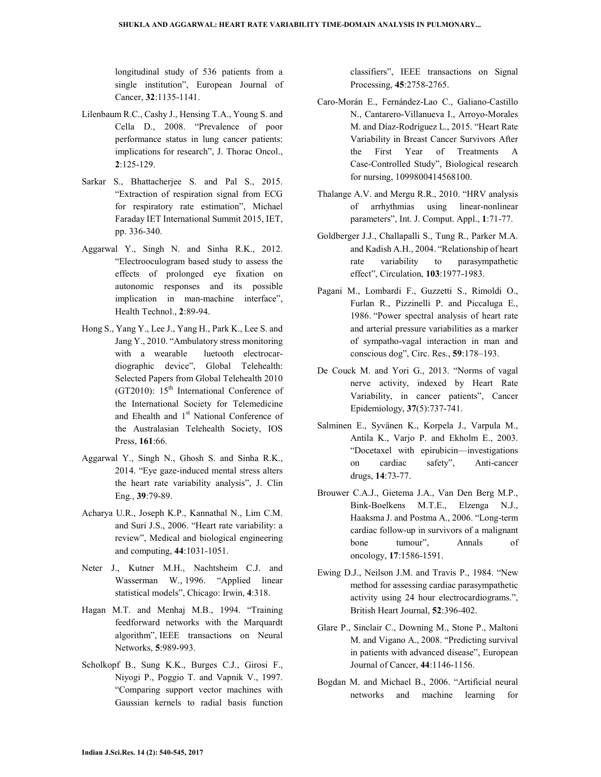longitudinal study of 536 patients from a single institution", European Journal of Cancer, **32**:1135-1141.

- Lilenbaum R.C., Cashy J., Hensing T.A., Young S. and Cella D., 2008. "Prevalence of poor performance status in lung cancer patients: implications for research", J. Thorac Oncol., **2**:125-129.
- Sarkar S., Bhattacherjee S. and Pal S., 2015. "Extraction of respiration signal from ECG for respiratory rate estimation", Michael Faraday IET International Summit 2015, IET, pp. 336-340.
- Aggarwal Y., Singh N. and Sinha R.K., 2012. "Electrooculogram based study to assess the effects of prolonged eye fixation on autonomic responses and its possible implication in man-machine interface", Health Technol., **2**:89-94.
- Hong S., Yang Y., Lee J., Yang H., Park K., Lee S. and Jang Y., 2010. "Ambulatory stress monitoring with a wearable luetooth electrocardiographic device", Global Telehealth: Selected Papers from Global Telehealth 2010 (GT2010):  $15<sup>th</sup>$  International Conference of the International Society for Telemedicine and Ehealth and 1<sup>st</sup> National Conference of the Australasian Telehealth Society, IOS Press, **161**:66.
- Aggarwal Y., Singh N., Ghosh S. and Sinha R.K., 2014. "Eye gaze-induced mental stress alters the heart rate variability analysis", J. Clin Eng., **39**:79-89.
- Acharya U.R., Joseph K.P., Kannathal N., Lim C.M. and Suri J.S., 2006. "Heart rate variability: a review", Medical and biological engineering and computing, **44**:1031-1051.
- Neter J., Kutner M.H., Nachtsheim C.J. and Wasserman W., 1996. "Applied linear statistical models", Chicago: Irwin, **4**:318.
- Hagan M.T. and Menhaj M.B., 1994. "Training feedforward networks with the Marquardt algorithm", IEEE transactions on Neural Networks, **5**:989-993.
- Scholkopf B., Sung K.K., Burges C.J., Girosi F., Niyogi P., Poggio T. and Vapnik V., 1997. "Comparing support vector machines with Gaussian kernels to radial basis function

classifiers", IEEE transactions on Signal Processing, **45**:2758-2765.

- Caro-Morán E., Fernández-Lao C., Galiano-Castillo N., Cantarero-Villanueva I., Arroyo-Morales M. and Díaz-Rodríguez L., 2015. "Heart Rate Variability in Breast Cancer Survivors After the First Year of Treatments A Case-Controlled Study", Biological research for nursing, 1099800414568100.
- Thalange A.V. and Mergu R.R., 2010. "HRV analysis of arrhythmias using linear-nonlinear parameters", Int. J. Comput. Appl., **1**:71-77.
- Goldberger J.J., Challapalli S., Tung R., Parker M.A. and Kadish A.H., 2004. "Relationship of heart rate variability to parasympathetic effect", Circulation, **103**:1977-1983.
- Pagani M., Lombardi F., Guzzetti S., Rimoldi O., Furlan R., Pizzinelli P. and Piccaluga E., 1986. "Power spectral analysis of heart rate and arterial pressure variabilities as a marker of sympatho-vagal interaction in man and conscious dog", Circ. Res., **59**:178–193.
- De Couck M. and Yori G., 2013. "Norms of vagal nerve activity, indexed by Heart Rate Variability, in cancer patients", Cancer Epidemiology, **37**(5):737-741.
- Salminen E., Syvänen K., Korpela J., Varpula M., Antila K., Varjo P. and Ekholm E., 2003. "Docetaxel with epirubicin—investigations on cardiac safety", Anti-cancer drugs, **14**:73-77.
- Brouwer C.A.J., Gietema J.A., Van Den Berg M.P., Bink-Boelkens M.T.E., Elzenga N.J., Haaksma J. and Postma A., 2006. "Long-term cardiac follow-up in survivors of a malignant bone tumour", Annals of oncology, **17**:1586-1591.
- Ewing D.J., Neilson J.M. and Travis P., 1984. "New method for assessing cardiac parasympathetic activity using 24 hour electrocardiograms.", British Heart Journal, **52**:396-402.
- Glare P., Sinclair C., Downing M., Stone P., Maltoni M. and Vigano A., 2008. "Predicting survival in patients with advanced disease", European Journal of Cancer, **44**:1146-1156.
- Bogdan M. and Michael B., 2006. "Artificial neural networks and machine learning for